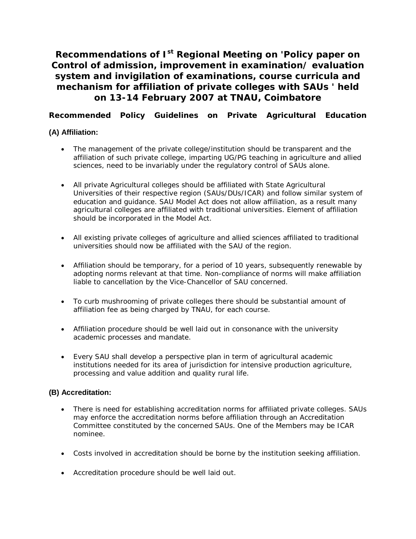**Recommendations of Ist Regional Meeting on 'Policy paper on Control of admission, improvement in examination/ evaluation system and invigilation of examinations, course curricula and mechanism for affiliation of private colleges with SAUs ' held on 13-14 February 2007 at TNAU, Coimbatore**

**Recommended Policy Guidelines on Private Agricultural Education**

# **(A) Affiliation:**

- The management of the private college/institution should be transparent and the affiliation of such private college, imparting UG/PG teaching in agriculture and allied sciences, need to be invariably under the regulatory control of SAUs alone.
- All private Agricultural colleges should be affiliated with State Agricultural Universities of their respective region (SAUs/DUs/ICAR) and follow similar system of education and guidance. SAU Model Act does not allow affiliation, as a result many agricultural colleges are affiliated with traditional universities. Element of affiliation should be incorporated in the Model Act.
- All existing private colleges of agriculture and allied sciences affiliated to traditional universities should now be affiliated with the SAU of the region.
- Affiliation should be temporary, for a period of 10 years, subsequently renewable by adopting norms relevant at that time. Non-compliance of norms will make affiliation liable to cancellation by the Vice-Chancellor of SAU concerned.
- To curb mushrooming of private colleges there should be substantial amount of affiliation fee as being charged by TNAU, for each course.
- Affiliation procedure should be well laid out in consonance with the university academic processes and mandate.
- Every SAU shall develop a perspective plan in term of agricultural academic institutions needed for its area of jurisdiction for intensive production agriculture, processing and value addition and quality rural life.

## **(B) Accreditation:**

- There is need for establishing accreditation norms for affiliated private colleges. SAUs may enforce the accreditation norms before affiliation through an Accreditation Committee constituted by the concerned SAUs. One of the Members may be ICAR nominee.
- Costs involved in accreditation should be borne by the institution seeking affiliation.
- Accreditation procedure should be well laid out.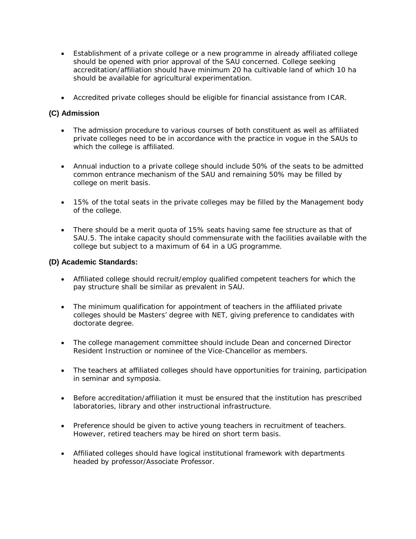- Establishment of a private college or a new programme in already affiliated college should be opened with prior approval of the SAU concerned. College seeking accreditation/affiliation should have minimum 20 ha cultivable land of which 10 ha should be available for agricultural experimentation.
- Accredited private colleges should be eligible for financial assistance from ICAR.

## **(C) Admission**

- The admission procedure to various courses of both constituent as well as affiliated private colleges need to be in accordance with the practice in vogue in the SAUs to which the college is affiliated.
- Annual induction to a private college should include 50% of the seats to be admitted common entrance mechanism of the SAU and remaining 50% may be filled by college on merit basis.
- 15% of the total seats in the private colleges may be filled by the Management body of the college.
- There should be a merit quota of 15% seats having same fee structure as that of SAU.5. The intake capacity should commensurate with the facilities available with the college but subject to a maximum of 64 in a UG programme.

#### **(D) Academic Standards:**

- Affiliated college should recruit/employ qualified competent teachers for which the pay structure shall be similar as prevalent in SAU.
- The minimum qualification for appointment of teachers in the affiliated private colleges should be Masters' degree with NET, giving preference to candidates with doctorate degree.
- The college management committee should include Dean and concerned Director Resident Instruction or nominee of the Vice-Chancellor as members.
- The teachers at affiliated colleges should have opportunities for training, participation in seminar and symposia.
- Before accreditation/affiliation it must be ensured that the institution has prescribed laboratories, library and other instructional infrastructure.
- Preference should be given to active young teachers in recruitment of teachers. However, retired teachers may be hired on short term basis.
- Affiliated colleges should have logical institutional framework with departments headed by professor/Associate Professor.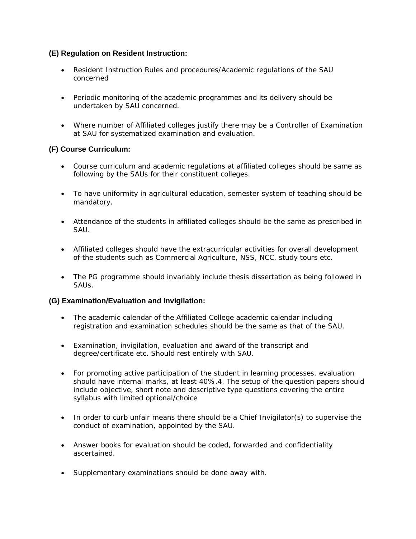## **(E) Regulation on Resident Instruction:**

- Resident Instruction Rules and procedures/Academic regulations of the SAU concerned
- Periodic monitoring of the academic programmes and its delivery should be undertaken by SAU concerned.
- Where number of Affiliated colleges justify there may be a Controller of Examination at SAU for systematized examination and evaluation.

### **(F) Course Curriculum:**

- Course curriculum and academic regulations at affiliated colleges should be same as following by the SAUs for their constituent colleges.
- To have uniformity in agricultural education, semester system of teaching should be mandatory.
- Attendance of the students in affiliated colleges should be the same as prescribed in SAU.
- Affiliated colleges should have the extracurricular activities for overall development of the students such as Commercial Agriculture, NSS, NCC, study tours etc.
- The PG programme should invariably include thesis dissertation as being followed in SAUs.

#### **(G) Examination/Evaluation and Invigilation:**

- The academic calendar of the Affiliated College academic calendar including registration and examination schedules should be the same as that of the SAU.
- Examination, invigilation, evaluation and award of the transcript and degree/certificate etc. Should rest entirely with SAU.
- For promoting active participation of the student in learning processes, evaluation should have internal marks, at least 40%.4. The setup of the question papers should include objective, short note and descriptive type questions covering the entire syllabus with limited optional/choice
- In order to curb unfair means there should be a Chief Invigilator(s) to supervise the conduct of examination, appointed by the SAU.
- Answer books for evaluation should be coded, forwarded and confidentiality ascertained.
- Supplementary examinations should be done away with.